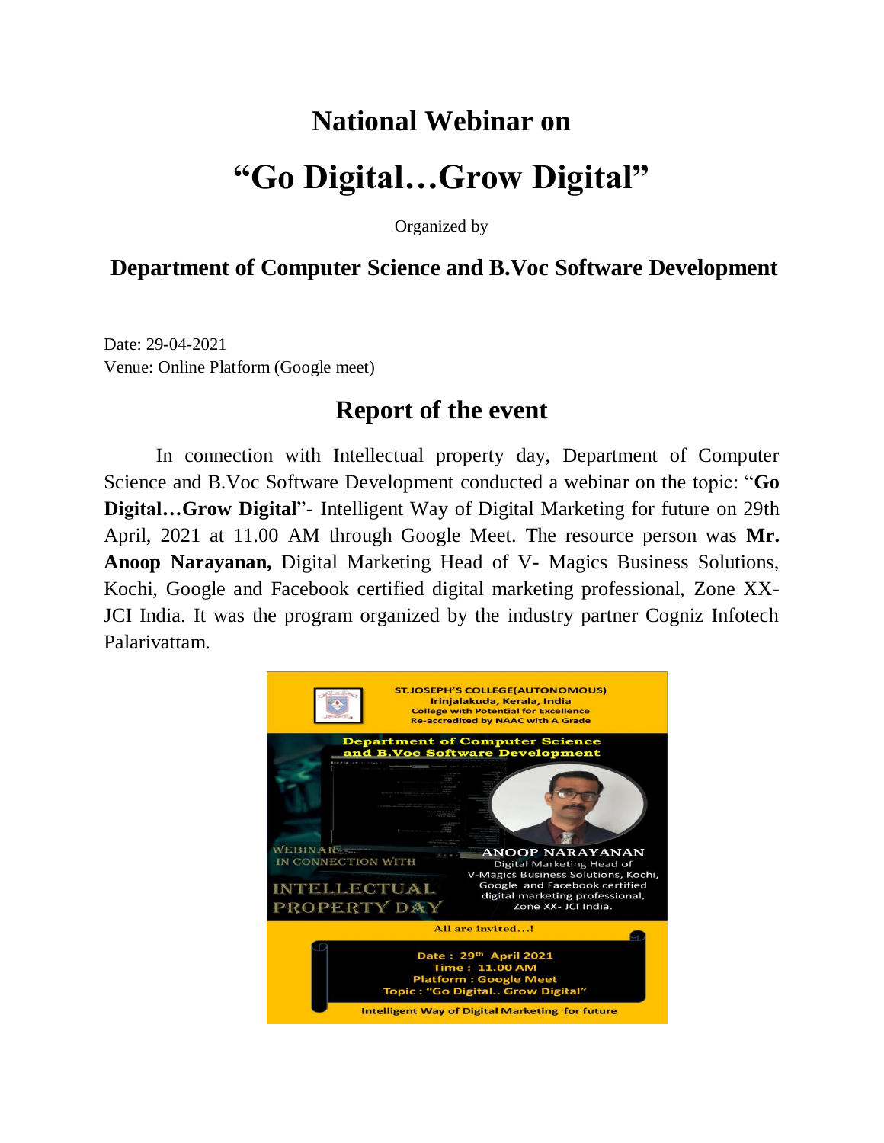## **National Webinar on "Go Digital…Grow Digital"**

Organized by

## **Department of Computer Science and B.Voc Software Development**

Date: 29-04-2021 Venue: Online Platform (Google meet)

## **Report of the event**

In connection with Intellectual property day, Department of Computer Science and B.Voc Software Development conducted a webinar on the topic: "**Go Digital…Grow Digital**"- Intelligent Way of Digital Marketing for future on 29th April, 2021 at 11.00 AM through Google Meet. The resource person was **Mr. Anoop Narayanan,** Digital Marketing Head of V- Magics Business Solutions, Kochi, Google and Facebook certified digital marketing professional, Zone XX-JCI India. It was the program organized by the industry partner Cogniz Infotech Palarivattam.

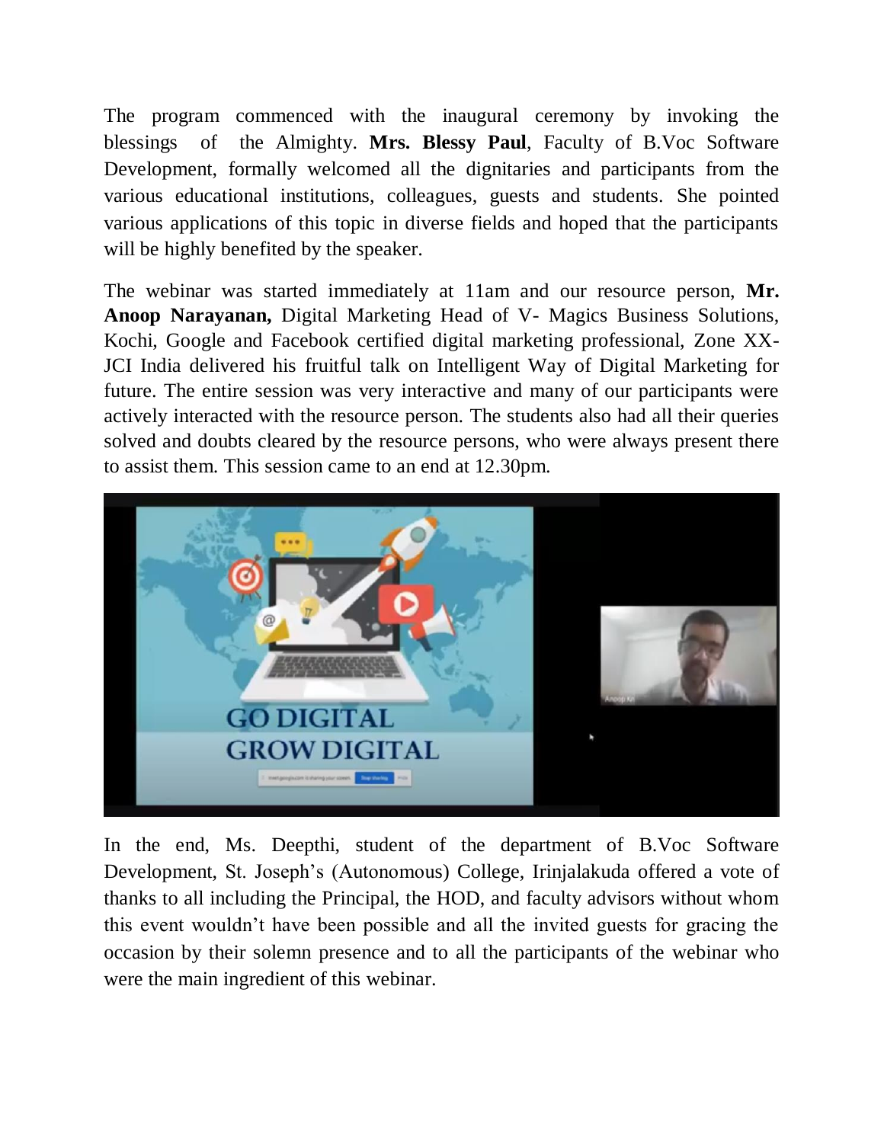The program commenced with the inaugural ceremony by invoking the blessings of the Almighty. **Mrs. Blessy Paul**, Faculty of B.Voc Software Development, formally welcomed all the dignitaries and participants from the various educational institutions, colleagues, guests and students. She pointed various applications of this topic in diverse fields and hoped that the participants will be highly benefited by the speaker.

The webinar was started immediately at 11am and our resource person, **Mr. Anoop Narayanan,** Digital Marketing Head of V- Magics Business Solutions, Kochi, Google and Facebook certified digital marketing professional, Zone XX-JCI India delivered his fruitful talk on Intelligent Way of Digital Marketing for future. The entire session was very interactive and many of our participants were actively interacted with the resource person. The students also had all their queries solved and doubts cleared by the resource persons, who were always present there to assist them. This session came to an end at 12.30pm.



In the end, Ms. Deepthi, student of the department of B.Voc Software Development, St. Joseph's (Autonomous) College, Irinjalakuda offered a vote of thanks to all including the Principal, the HOD, and faculty advisors without whom this event wouldn't have been possible and all the invited guests for gracing the occasion by their solemn presence and to all the participants of the webinar who were the main ingredient of this webinar.